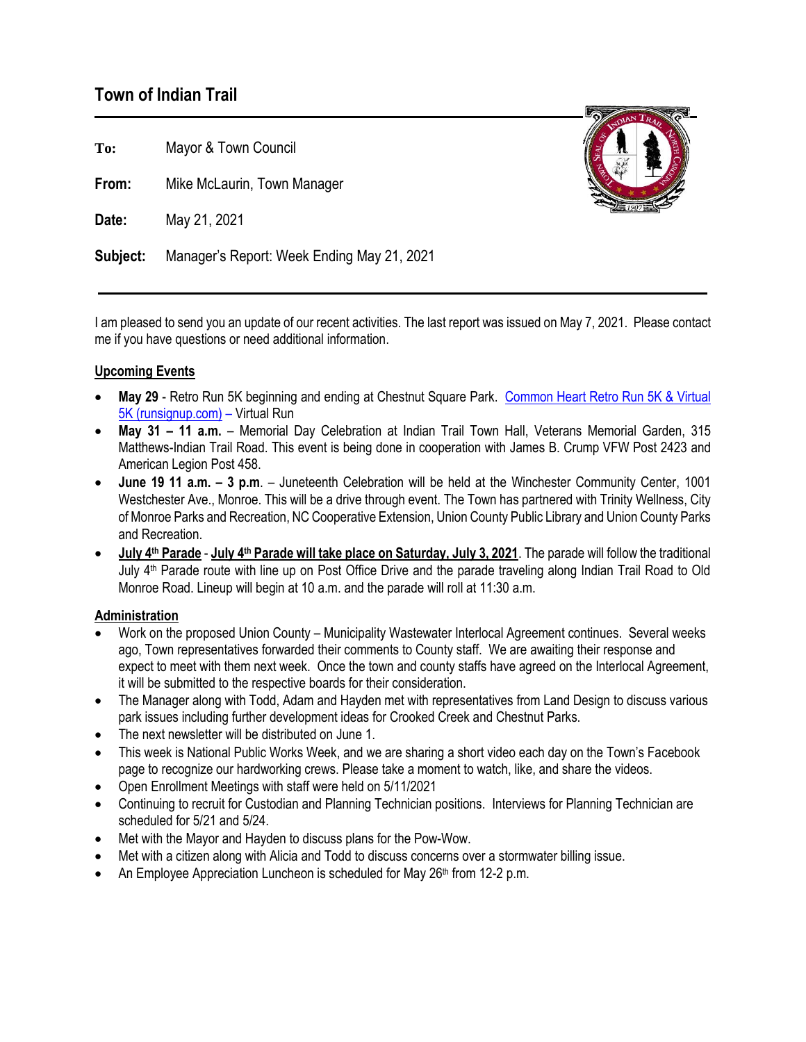# **Town of Indian Trail**

**To:** Mayor & Town Council

**From:** Mike McLaurin, Town Manager

**Date:** May 21, 2021

**Subject:** Manager's Report: Week Ending May 21, 2021

I am pleased to send you an update of our recent activities. The last report was issued on May 7, 2021. Please contact me if you have questions or need additional information.

## **Upcoming Events**

- **May 29**  Retro Run 5K beginning and ending at Chestnut Square Park. [Common Heart Retro Run 5K & Virtual](https://runsignup.com/Race/NC/IndianTrail/CommonHeartRetroRun)  [5K \(runsignup.com\)](https://runsignup.com/Race/NC/IndianTrail/CommonHeartRetroRun) – Virtual Run
- **May 31 – 11 a.m.** Memorial Day Celebration at Indian Trail Town Hall, Veterans Memorial Garden, 315 Matthews-Indian Trail Road. This event is being done in cooperation with James B. Crump VFW Post 2423 and American Legion Post 458.
- **June 19 11 a.m. – 3 p.m**. Juneteenth Celebration will be held at the Winchester Community Center, 1001 Westchester Ave., Monroe. This will be a drive through event. The Town has partnered with Trinity Wellness, City of Monroe Parks and Recreation, NC Cooperative Extension, Union County Public Library and Union County Parks and Recreation.
- **July 4 th Parade July 4th Parade will take place on Saturday, July 3, 2021**. The parade will follow the traditional July 4th Parade route with line up on Post Office Drive and the parade traveling along Indian Trail Road to Old Monroe Road. Lineup will begin at 10 a.m. and the parade will roll at 11:30 a.m.

## **Administration**

- Work on the proposed Union County Municipality Wastewater Interlocal Agreement continues. Several weeks ago, Town representatives forwarded their comments to County staff. We are awaiting their response and expect to meet with them next week. Once the town and county staffs have agreed on the Interlocal Agreement, it will be submitted to the respective boards for their consideration.
- The Manager along with Todd, Adam and Hayden met with representatives from Land Design to discuss various park issues including further development ideas for Crooked Creek and Chestnut Parks.
- The next newsletter will be distributed on June 1.
- This week is National Public Works Week, and we are sharing a short video each day on the Town's Facebook page to recognize our hardworking crews. Please take a moment to watch, like, and share the videos.
- Open Enrollment Meetings with staff were held on 5/11/2021
- Continuing to recruit for Custodian and Planning Technician positions. Interviews for Planning Technician are scheduled for 5/21 and 5/24.
- Met with the Mayor and Hayden to discuss plans for the Pow-Wow.
- Met with a citizen along with Alicia and Todd to discuss concerns over a stormwater billing issue.
- An Employee Appreciation Luncheon is scheduled for May 26<sup>th</sup> from 12-2 p.m.

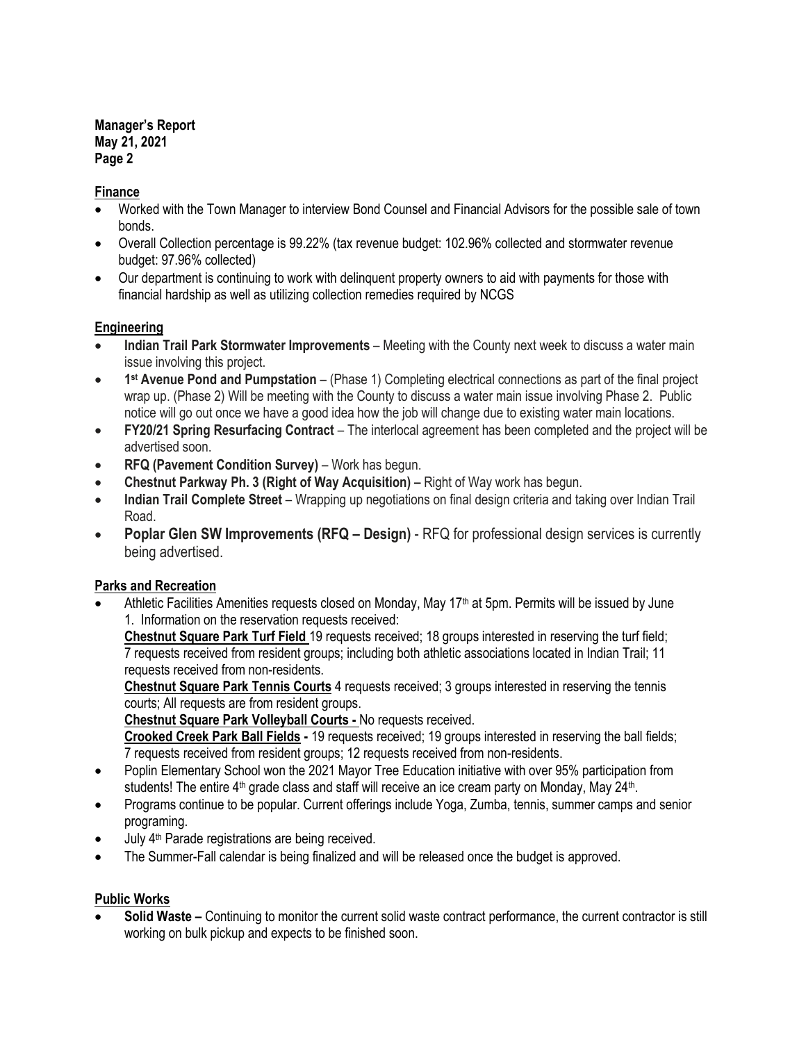**Manager's Report May 21, 2021 Page 2**

### **Finance**

- Worked with the Town Manager to interview Bond Counsel and Financial Advisors for the possible sale of town bonds.
- Overall Collection percentage is 99.22% (tax revenue budget: 102.96% collected and stormwater revenue budget: 97.96% collected)
- Our department is continuing to work with delinquent property owners to aid with payments for those with financial hardship as well as utilizing collection remedies required by NCGS

#### **Engineering**

- **Indian Trail Park Stormwater Improvements**  Meeting with the County next week to discuss a water main issue involving this project.
- **1 st Avenue Pond and Pumpstation** (Phase 1) Completing electrical connections as part of the final project wrap up. (Phase 2) Will be meeting with the County to discuss a water main issue involving Phase 2. Public notice will go out once we have a good idea how the job will change due to existing water main locations.
- **FY20/21 Spring Resurfacing Contract** The interlocal agreement has been completed and the project will be advertised soon.
- **RFQ (Pavement Condition Survey)** Work has begun.
- **Chestnut Parkway Ph. 3 (Right of Way Acquisition) –** Right of Way work has begun.
- **Indian Trail Complete Street** Wrapping up negotiations on final design criteria and taking over Indian Trail Road.
- **Poplar Glen SW Improvements (RFQ – Design)** RFQ for professional design services is currently being advertised.

## **Parks and Recreation**

• Athletic Facilities Amenities requests closed on Monday, May 17th at 5pm. Permits will be issued by June 1. Information on the reservation requests received:

**Chestnut Square Park Turf Field** 19 requests received; 18 groups interested in reserving the turf field; 7 requests received from resident groups; including both athletic associations located in Indian Trail; 11 requests received from non-residents.

**Chestnut Square Park Tennis Courts** 4 requests received; 3 groups interested in reserving the tennis courts; All requests are from resident groups.

**Chestnut Square Park Volleyball Courts -** No requests received.

**Crooked Creek Park Ball Fields -** 19 requests received; 19 groups interested in reserving the ball fields; 7 requests received from resident groups; 12 requests received from non-residents.

- Poplin Elementary School won the 2021 Mayor Tree Education initiative with over 95% participation from students! The entire 4<sup>th</sup> grade class and staff will receive an ice cream party on Monday, May 24<sup>th</sup>.
- Programs continue to be popular. Current offerings include Yoga, Zumba, tennis, summer camps and senior programing.
- July 4<sup>th</sup> Parade registrations are being received.
- The Summer-Fall calendar is being finalized and will be released once the budget is approved.

## **Public Works**

**Solid Waste –** Continuing to monitor the current solid waste contract performance, the current contractor is still working on bulk pickup and expects to be finished soon.